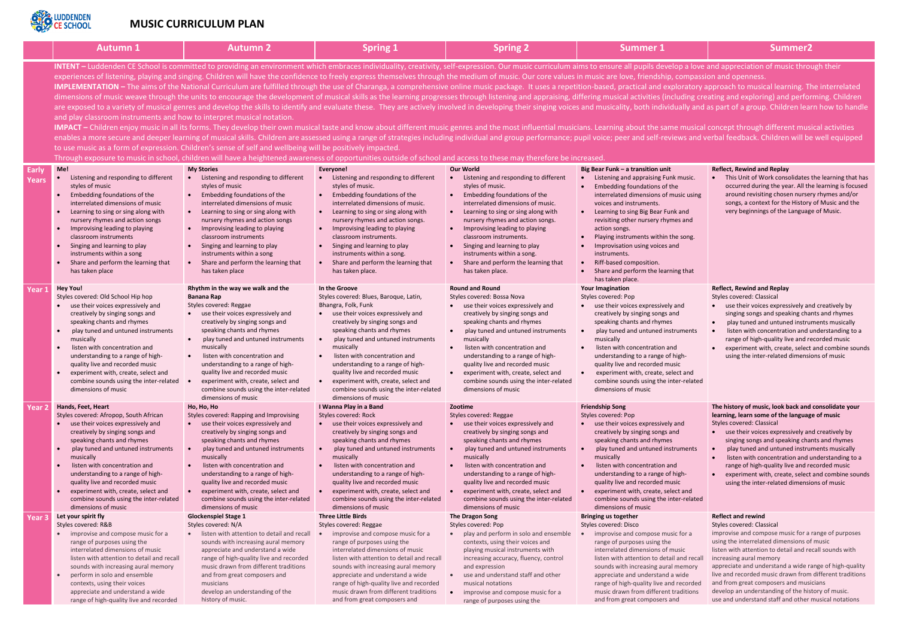

## **MUSIC CURRICULUM PLAN**

|                | <b>Autumn 1</b>                                                                                                                                                                                                                                                                                                                                                                                                                                                                                                                                                                                                                                                                                                                                                                                                                                                                                                                                                                                                                                                                                                                                                                                                                                                                                                                                                                                                                                                                                                                                                                                                                                                                                                                                                                                                                                                                                                                                                                        | <b>Autumn 2</b>                                                                                                                                                                                                                                                                                                                                                                                                                                              | <b>Spring 1</b>                                                                                                                                                                                                                                                                                                                                                                                                                                            | <b>Spring 2</b>                                                                                                                                                                                                                                                                                                                                                                                                                                            | <b>Summer 1</b>                                                                                                                                                                                                                                                                                                                                                                                                                                              | <b>Summer2</b>                                                                                                                                                                                                                                                                                                                                                                                                 |  |  |
|----------------|----------------------------------------------------------------------------------------------------------------------------------------------------------------------------------------------------------------------------------------------------------------------------------------------------------------------------------------------------------------------------------------------------------------------------------------------------------------------------------------------------------------------------------------------------------------------------------------------------------------------------------------------------------------------------------------------------------------------------------------------------------------------------------------------------------------------------------------------------------------------------------------------------------------------------------------------------------------------------------------------------------------------------------------------------------------------------------------------------------------------------------------------------------------------------------------------------------------------------------------------------------------------------------------------------------------------------------------------------------------------------------------------------------------------------------------------------------------------------------------------------------------------------------------------------------------------------------------------------------------------------------------------------------------------------------------------------------------------------------------------------------------------------------------------------------------------------------------------------------------------------------------------------------------------------------------------------------------------------------------|--------------------------------------------------------------------------------------------------------------------------------------------------------------------------------------------------------------------------------------------------------------------------------------------------------------------------------------------------------------------------------------------------------------------------------------------------------------|------------------------------------------------------------------------------------------------------------------------------------------------------------------------------------------------------------------------------------------------------------------------------------------------------------------------------------------------------------------------------------------------------------------------------------------------------------|------------------------------------------------------------------------------------------------------------------------------------------------------------------------------------------------------------------------------------------------------------------------------------------------------------------------------------------------------------------------------------------------------------------------------------------------------------|--------------------------------------------------------------------------------------------------------------------------------------------------------------------------------------------------------------------------------------------------------------------------------------------------------------------------------------------------------------------------------------------------------------------------------------------------------------|----------------------------------------------------------------------------------------------------------------------------------------------------------------------------------------------------------------------------------------------------------------------------------------------------------------------------------------------------------------------------------------------------------------|--|--|
|                | INTENT - Luddenden CE School is committed to providing an environment which embraces individuality, creativity, self-expression. Our music curriculum aims to ensure all pupils develop a love and appreciation of music throu<br>experiences of listening, playing and singing. Children will have the confidence to freely express themselves through the medium of music. Our core values in music are love, friendship, compassion and openness.<br>IMPLEMENTATION - The aims of the National Curriculum are fulfilled through the use of Charanga, a comprehensive online music package. It uses a repetition-based, practical and exploratory approach to musical learning. The<br>dimensions of music weave through the units to encourage the development of musical skills as the learning progresses through listening and appraising, differing musical activities (including creating and exploring) and pe<br>are exposed to a variety of musical genres and develop the skills to identify and evaluate these. They are actively involved in developing their singing voices and musicality, both individually and as part of a group. Chil<br>and play classroom instruments and how to interpret musical notation.<br>IMPACT - Children enjoy music in all its forms. They develop their own musical taste and know about different music genres and the most influential musicians. Learning about the same musical concept through different mus<br>enables a more secure and deeper learning of musical skills. Children are assessed using a range of strategies including individual and group performance; pupil voice; peer and self-reviews and verbal feedback. Children wi<br>to use music as a form of expression. Children's sense of self and wellbeing will be positively impacted.<br>Through exposure to music in school, children will have a heightened awareness of opportunities outside of school and access to these may therefore be increased. |                                                                                                                                                                                                                                                                                                                                                                                                                                                              |                                                                                                                                                                                                                                                                                                                                                                                                                                                            |                                                                                                                                                                                                                                                                                                                                                                                                                                                            |                                                                                                                                                                                                                                                                                                                                                                                                                                                              |                                                                                                                                                                                                                                                                                                                                                                                                                |  |  |
| Early<br>Years | Me!<br>• Listening and responding to different<br>styles of music<br>Embedding foundations of the<br>interrelated dimensions of music<br>Learning to sing or sing along with<br>nursery rhymes and action songs<br>Improvising leading to playing<br>classroom instruments<br>Singing and learning to play<br>instruments within a song<br>Share and perform the learning that<br>has taken place                                                                                                                                                                                                                                                                                                                                                                                                                                                                                                                                                                                                                                                                                                                                                                                                                                                                                                                                                                                                                                                                                                                                                                                                                                                                                                                                                                                                                                                                                                                                                                                      | <b>My Stories</b><br>• Listening and responding to different<br>styles of music<br>Embedding foundations of the<br>interrelated dimensions of music<br>Learning to sing or sing along with<br>$\bullet$<br>nursery rhymes and action songs<br>Improvising leading to playing<br>classroom instruments<br>Singing and learning to play<br>instruments within a song<br>Share and perform the learning that<br>has taken place                                 | Everyone!<br>• Listening and responding to different<br>styles of music.<br>Embedding foundations of the<br>interrelated dimensions of music.<br>Learning to sing or sing along with<br>$\bullet$<br>nursery rhymes and action songs.<br>• Improvising leading to playing<br>classroom instruments.<br>Singing and learning to play<br>instruments within a song.<br>Share and perform the learning that<br>has taken place.                               | <b>Our World</b><br>• Listening and responding to different<br>styles of music.<br>Embedding foundations of the<br>interrelated dimensions of music.<br>Learning to sing or sing along with<br>$\bullet$<br>nursery rhymes and action songs.<br>Improvising leading to playing<br>$\bullet$<br>classroom instruments.<br>Singing and learning to play<br>instruments within a song.<br>Share and perform the learning that<br>has taken place.             | Big Bear Funk - a transition unit<br>Listening and appraising Funk music.<br>Embedding foundations of the<br>interrelated dimensions of music using<br>voices and instruments.<br>Learning to sing Big Bear Funk and<br>revisiting other nursery rhymes and<br>action songs.<br>Playing instruments within the song.<br>Improvisation using voices and<br>instruments.<br>Riff-based composition.<br>Share and perform the learning that<br>has taken place. | <b>Reflect, Rewind and Replay</b><br>This Unit of Work consolidates<br>occurred during the year. All th<br>around revisiting chosen nurser<br>songs, a context for the History<br>very beginnings of the Languag                                                                                                                                                                                               |  |  |
| Year 1         | <b>Hey You!</b><br>Styles covered: Old School Hip hop<br>use their voices expressively and<br>creatively by singing songs and<br>speaking chants and rhymes<br>play tuned and untuned instruments<br>musically<br>listen with concentration and<br>understanding to a range of high-<br>quality live and recorded music<br>experiment with, create, select and<br>combine sounds using the inter-related $\bullet$<br>dimensions of music                                                                                                                                                                                                                                                                                                                                                                                                                                                                                                                                                                                                                                                                                                                                                                                                                                                                                                                                                                                                                                                                                                                                                                                                                                                                                                                                                                                                                                                                                                                                              | Rhythm in the way we walk and the<br><b>Banana Rap</b><br>Styles covered: Reggae<br>• use their voices expressively and<br>creatively by singing songs and<br>speaking chants and rhymes<br>play tuned and untuned instruments<br>musically<br>listen with concentration and<br>understanding to a range of high-<br>quality live and recorded music<br>experiment with, create, select and<br>combine sounds using the inter-related<br>dimensions of music | In the Groove<br>Styles covered: Blues, Baroque, Latin,<br>Bhangra, Folk, Funk<br>• use their voices expressively and<br>creatively by singing songs and<br>speaking chants and rhymes<br>play tuned and untuned instruments<br>musically<br>listen with concentration and<br>understanding to a range of high-<br>quality live and recorded music<br>experiment with, create, select and<br>combine sounds using the inter-related<br>dimensions of music | <b>Round and Round</b><br>Styles covered: Bossa Nova<br>use their voices expressively and<br>$\bullet$<br>creatively by singing songs and<br>speaking chants and rhymes<br>play tuned and untuned instruments<br>$\bullet$<br>musically<br>listen with concentration and<br>understanding to a range of high-<br>quality live and recorded music<br>• experiment with, create, select and<br>combine sounds using the inter-related<br>dimensions of music | <b>Your Imagination</b><br>Styles covered: Pop<br>• use their voices expressively and<br>creatively by singing songs and<br>speaking chants and rhymes<br>play tuned and untuned instruments<br>musically<br>listen with concentration and<br>understanding to a range of high-<br>quality live and recorded music<br>experiment with, create, select and<br>combine sounds using the inter-related<br>dimensions of music                                   | <b>Reflect, Rewind and Replay</b><br><b>Styles covered: Classical</b><br>use their voices expressively an<br>singing songs and speaking cha<br>play tuned and untuned instrui<br>listen with concentration and u<br>range of high-quality live and re<br>experiment with, create, select<br>using the inter-related dimensi                                                                                    |  |  |
| Year 2         | Hands, Feet, Heart<br>Styles covered: Afropop, South African<br>use their voices expressively and<br>creatively by singing songs and<br>speaking chants and rhymes<br>play tuned and untuned instruments<br>musically<br>listen with concentration and<br>understanding to a range of high-<br>quality live and recorded music<br>experiment with, create, select and<br>combine sounds using the inter-related<br>dimensions of music                                                                                                                                                                                                                                                                                                                                                                                                                                                                                                                                                                                                                                                                                                                                                                                                                                                                                                                                                                                                                                                                                                                                                                                                                                                                                                                                                                                                                                                                                                                                                 | Ho, Ho, Ho<br>Styles covered: Rapping and Improvising<br>use their voices expressively and<br>creatively by singing songs and<br>speaking chants and rhymes<br>play tuned and untuned instruments<br>musically<br>listen with concentration and<br>understanding to a range of high-<br>quality live and recorded music<br>experiment with, create, select and<br>$\bullet$<br>combine sounds using the inter-related<br>dimensions of music                 | I Wanna Play in a Band<br>Styles covered: Rock<br>use their voices expressively and<br>creatively by singing songs and<br>speaking chants and rhymes<br>play tuned and untuned instruments<br>musically<br>listen with concentration and<br>understanding to a range of high-<br>quality live and recorded music<br>experiment with, create, select and<br>combine sounds using the inter-related<br>dimensions of music                                   | Zootime<br>Styles covered: Reggae<br>use their voices expressively and<br>creatively by singing songs and<br>speaking chants and rhymes<br>play tuned and untuned instruments<br>$\bullet$<br>musically<br>listen with concentration and<br>understanding to a range of high-<br>quality live and recorded music<br>experiment with, create, select and<br>$\bullet$<br>combine sounds using the inter-related<br>dimensions of music                      | <b>Friendship Song</b><br>Styles covered: Pop<br>use their voices expressively and<br>creatively by singing songs and<br>speaking chants and rhymes<br>play tuned and untuned instruments<br>musically<br>listen with concentration and<br>understanding to a range of high-<br>quality live and recorded music<br>experiment with, create, select and<br>combine sounds using the inter-related<br>dimensions of music                                      | The history of music, look back and<br>learning, learn some of the languag<br><b>Styles covered: Classical</b><br>use their voices expressively an<br>singing songs and speaking cha<br>play tuned and untuned instrui<br>listen with concentration and u<br>range of high-quality live and re<br>experiment with, create, select<br>using the inter-related dimensi                                           |  |  |
| Year 3         | Let your spirit fly<br>Styles covered: R&B<br>improvise and compose music for a<br>range of purposes using the<br>interrelated dimensions of music<br>listen with attention to detail and recall<br>sounds with increasing aural memory<br>perform in solo and ensemble<br>contexts, using their voices<br>appreciate and understand a wide<br>range of high-quality live and recorded                                                                                                                                                                                                                                                                                                                                                                                                                                                                                                                                                                                                                                                                                                                                                                                                                                                                                                                                                                                                                                                                                                                                                                                                                                                                                                                                                                                                                                                                                                                                                                                                 | <b>Glockenspiel Stage 1</b><br>Styles covered: N/A<br>listen with attention to detail and recall<br>sounds with increasing aural memory<br>appreciate and understand a wide<br>range of high-quality live and recorded<br>music drawn from different traditions<br>and from great composers and<br>musicians<br>develop an understanding of the<br>history of music.                                                                                         | <b>Three Little Birds</b><br>Styles covered: Reggae<br>improvise and compose music for a<br>range of purposes using the<br>interrelated dimensions of music<br>listen with attention to detail and recall<br>sounds with increasing aural memory<br>appreciate and understand a wide<br>range of high-quality live and recorded<br>music drawn from different traditions<br>and from great composers and                                                   | The Dragon Song<br>Styles covered: Pop<br>play and perform in solo and ensemble<br>contexts, using their voices and<br>playing musical instruments with<br>increasing accuracy, fluency, control<br>and expression<br>use and understand staff and other<br>$\bullet$<br>musical notations<br>improvise and compose music for a<br>$\bullet$<br>range of purposes using the                                                                                | <b>Bringing us together</b><br>Styles covered: Disco<br>improvise and compose music for a<br>range of purposes using the<br>interrelated dimensions of music<br>listen with attention to detail and recall<br>sounds with increasing aural memory<br>appreciate and understand a wide<br>range of high-quality live and recorded<br>music drawn from different traditions<br>and from great composers and                                                    | <b>Reflect and rewind</b><br><b>Styles covered: Classical</b><br>improvise and compose music for a<br>using the interrelated dimensions of<br>listen with attention to detail and re<br>increasing aural memory<br>appreciate and understand a wide ra<br>live and recorded music drawn from<br>and from great composers and musi<br>develop an understanding of the his<br>use and understand staff and other |  |  |

love and appreciation of music through their npassion and openness.

atory approach to musical learning. The interrelated ing creating and exploring) and performing. Children y and as part of a group. Children learn how to handle

usical concept through different musical activities and verbal feedback. Children will be well equipped

| music.<br>sic using<br>and<br>s and<br>song.<br>g that            | <b>Reflect, Rewind and Replay</b><br>This Unit of Work consolidates the learning that has<br>occurred during the year. All the learning is focused<br>around revisiting chosen nursery rhymes and/or<br>songs, a context for the History of Music and the<br>very beginnings of the Language of Music.                                                                                                                                                                                                                              |
|-------------------------------------------------------------------|-------------------------------------------------------------------------------------------------------------------------------------------------------------------------------------------------------------------------------------------------------------------------------------------------------------------------------------------------------------------------------------------------------------------------------------------------------------------------------------------------------------------------------------|
| ٦d<br>ıments<br>gh-<br>t and:<br>r-related                        | <b>Reflect, Rewind and Replay</b><br><b>Styles covered: Classical</b><br>use their voices expressively and creatively by<br>singing songs and speaking chants and rhymes<br>play tuned and untuned instruments musically<br>listen with concentration and understanding to a<br>range of high-quality live and recorded music<br>experiment with, create, select and combine sounds<br>using the inter-related dimensions of music                                                                                                  |
| ٦d<br>ıments<br>gh-<br>t and<br>r-related                         | The history of music, look back and consolidate your<br>learning, learn some of the language of music<br><b>Styles covered: Classical</b><br>use their voices expressively and creatively by<br>singing songs and speaking chants and rhymes<br>play tuned and untuned instruments musically<br>listen with concentration and understanding to a<br>$\bullet$<br>range of high-quality live and recorded music<br>experiment with, create, select and combine sounds<br>using the inter-related dimensions of music                 |
| for a<br>sic<br>ınd recall<br>emory<br>ide/<br>ecorded<br>ditions | <b>Reflect and rewind</b><br><b>Styles covered: Classical</b><br>improvise and compose music for a range of purposes<br>using the interrelated dimensions of music<br>listen with attention to detail and recall sounds with<br>increasing aural memory<br>appreciate and understand a wide range of high-quality<br>live and recorded music drawn from different traditions<br>and from great composers and musicians<br>develop an understanding of the history of music.<br>use and understand staff and other musical notations |